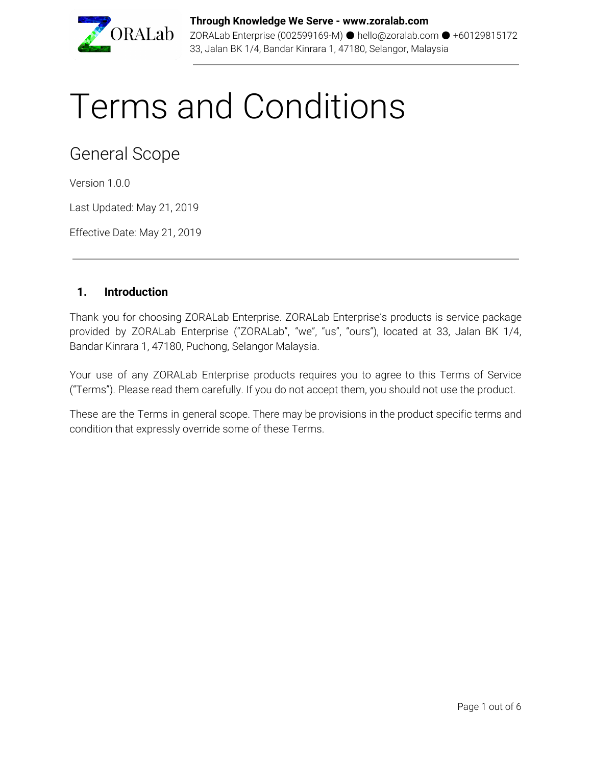

# Terms and Conditions

General Scope

Version 1.0.0

Last Updated: May 21, 2019

Effective Date: May 21, 2019

#### **1. Introduction**

Thank you for choosing ZORALab Enterprise. ZORALab Enterprise's products is service package provided by ZORALab Enterprise ("ZORALab", "we", "us", "ours"), located at 33, Jalan BK 1/4, Bandar Kinrara 1, 47180, Puchong, Selangor Malaysia.

Your use of any ZORALab Enterprise products requires you to agree to this Terms of Service ("Terms"). Please read them carefully. If you do not accept them, you should not use the product.

These are the Terms in general scope. There may be provisions in the product specific terms and condition that expressly override some of these Terms.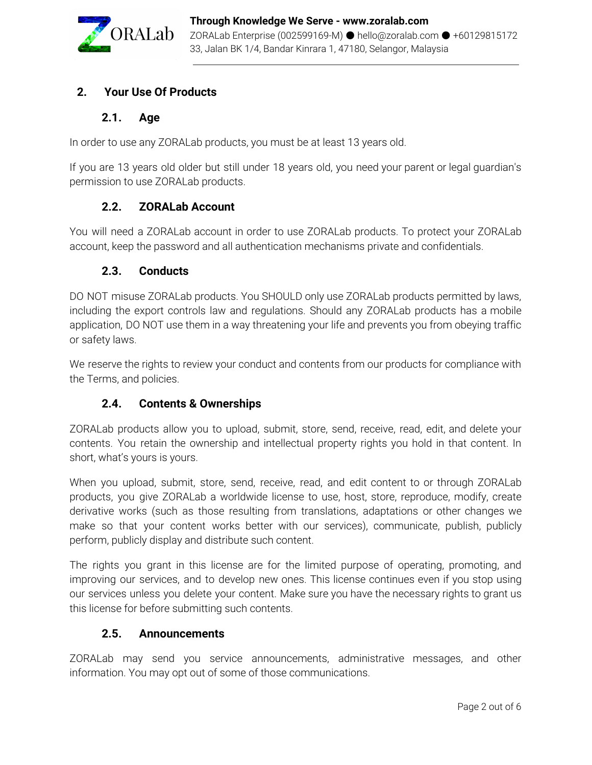

# **2. Your Use Of Products**

## **2.1. Age**

In order to use any ZORALab products, you must be at least 13 years old.

If you are 13 years old older but still under 18 years old, you need your parent or legal guardian's permission to use ZORALab products.

## **2.2. ZORALab Account**

You will need a ZORALab account in order to use ZORALab products. To protect your ZORALab account, keep the password and all authentication mechanisms private and confidentials.

## **2.3. Conducts**

DO NOT misuse ZORALab products. You SHOULD only use ZORALab products permitted by laws, including the export controls law and regulations. Should any ZORALab products has a mobile application, DO NOT use them in a way threatening your life and prevents you from obeying traffic or safety laws.

We reserve the rights to review your conduct and contents from our products for compliance with the Terms, and policies.

## **2.4. Contents & Ownerships**

ZORALab products allow you to upload, submit, store, send, receive, read, edit, and delete your contents. You retain the ownership and intellectual property rights you hold in that content. In short, what's yours is yours.

When you upload, submit, store, send, receive, read, and edit content to or through ZORALab products, you give ZORALab a worldwide license to use, host, store, reproduce, modify, create derivative works (such as those resulting from translations, adaptations or other changes we make so that your content works better with our services), communicate, publish, publicly perform, publicly display and distribute such content.

The rights you grant in this license are for the limited purpose of operating, promoting, and improving our services, and to develop new ones. This license continues even if you stop using our services unless you delete your content. Make sure you have the necessary rights to grant us this license for before submitting such contents.

## **2.5. Announcements**

ZORALab may send you service announcements, administrative messages, and other information. You may opt out of some of those communications.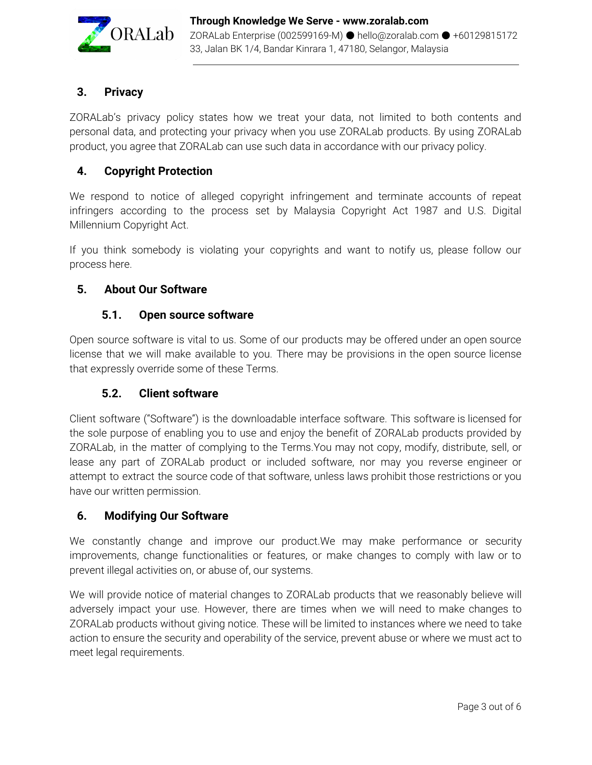

# **3. Privacy**

ZORALab's privacy policy states how we treat your data, not limited to both contents and personal data, and protecting your privacy when you use ZORALab products. By using ZORALab product, you agree that ZORALab can use such data in accordance with our privacy policy.

# **4. Copyright Protection**

We respond to notice of alleged copyright infringement and terminate accounts of repeat infringers according to the process set by Malaysia Copyright Act 1987 and U.S. Digital Millennium Copyright Act.

If you think somebody is violating your copyrights and want to notify us, please follow our process here.

## **5. About Our Software**

#### **5.1. Open source software**

Open source software is vital to us. Some of our products may be offered under an open source license that we will make available to you. There may be provisions in the open source license that expressly override some of these Terms.

## **5.2. Client software**

Client software ("Software") is the downloadable interface software. This software is licensed for the sole purpose of enabling you to use and enjoy the benefit of ZORALab products provided by ZORALab, in the matter of complying to the Terms.You may not copy, modify, distribute, sell, or lease any part of ZORALab product or included software, nor may you reverse engineer or attempt to extract the source code of that software, unless laws prohibit those restrictions or you have our written permission.

## **6. Modifying Our Software**

We constantly change and improve our product.We may make performance or security improvements, change functionalities or features, or make changes to comply with law or to prevent illegal activities on, or abuse of, our systems.

We will provide notice of material changes to ZORALab products that we reasonably believe will adversely impact your use. However, there are times when we will need to make changes to ZORALab products without giving notice. These will be limited to instances where we need to take action to ensure the security and operability of the service, prevent abuse or where we must act to meet legal requirements.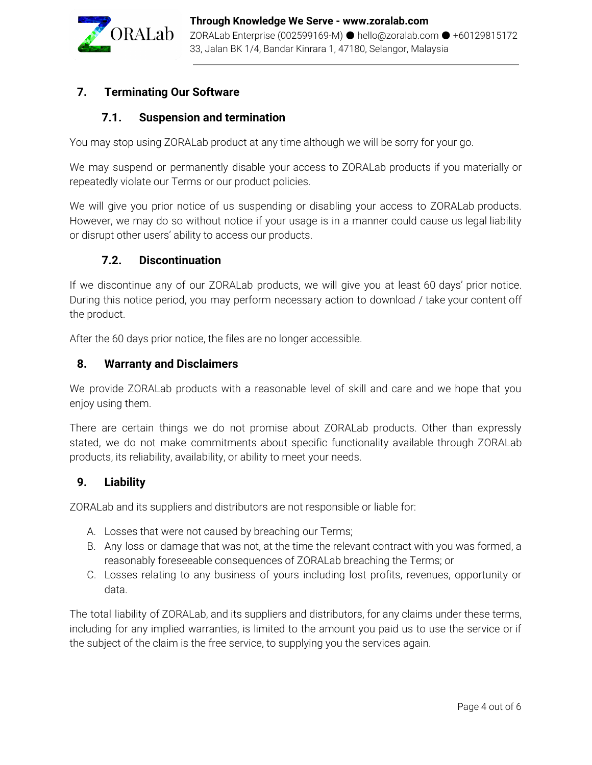

# **7. Terminating Our Software**

#### **7.1. Suspension and termination**

You may stop using ZORALab product at any time although we will be sorry for your go.

We may suspend or permanently disable your access to ZORALab products if you materially or repeatedly violate our Terms or our product policies.

We will give you prior notice of us suspending or disabling your access to ZORALab products. However, we may do so without notice if your usage is in a manner could cause us legal liability or disrupt other users' ability to access our products.

#### **7.2. Discontinuation**

If we discontinue any of our ZORALab products, we will give you at least 60 days' prior notice. During this notice period, you may perform necessary action to download / take your content off the product.

After the 60 days prior notice, the files are no longer accessible.

#### **8. Warranty and Disclaimers**

We provide ZORALab products with a reasonable level of skill and care and we hope that you enjoy using them.

There are certain things we do not promise about ZORALab products. Other than expressly stated, we do not make commitments about specific functionality available through ZORALab products, its reliability, availability, or ability to meet your needs.

#### **9. Liability**

ZORALab and its suppliers and distributors are not responsible or liable for:

- A. Losses that were not caused by breaching our Terms;
- B. Any loss or damage that was not, at the time the relevant contract with you was formed, a reasonably foreseeable consequences of ZORALab breaching the Terms; or
- C. Losses relating to any business of yours including lost profits, revenues, opportunity or data.

The total liability of ZORALab, and its suppliers and distributors, for any claims under these terms, including for any implied warranties, is limited to the amount you paid us to use the service or if the subject of the claim is the free service, to supplying you the services again.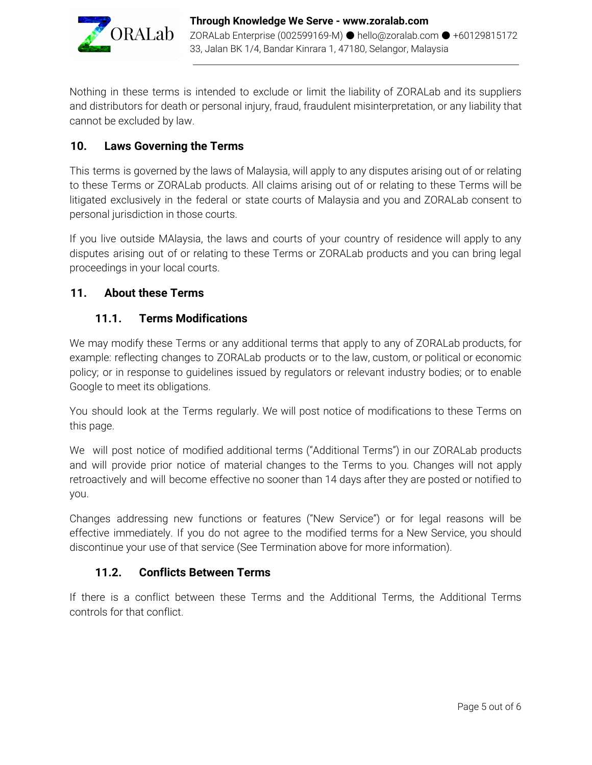

Nothing in these terms is intended to exclude or limit the liability of ZORALab and its suppliers and distributors for death or personal injury, fraud, fraudulent misinterpretation, or any liability that cannot be excluded by law.

# **10. Laws Governing the Terms**

This terms is governed by the laws of Malaysia, will apply to any disputes arising out of or relating to these Terms or ZORALab products. All claims arising out of or relating to these Terms will be litigated exclusively in the federal or state courts of Malaysia and you and ZORALab consent to personal jurisdiction in those courts.

If you live outside MAlaysia, the laws and courts of your country of residence will apply to any disputes arising out of or relating to these Terms or ZORALab products and you can bring legal proceedings in your local courts.

## **11. About these Terms**

#### **11.1. Terms Modifications**

We may modify these Terms or any additional terms that apply to any of ZORALab products, for example: reflecting changes to ZORALab products or to the law, custom, or political or economic policy; or in response to guidelines issued by regulators or relevant industry bodies; or to enable Google to meet its obligations.

You should look at the Terms regularly. We will post notice of modifications to these Terms on this page.

We will post notice of modified additional terms ("Additional Terms") in our ZORALab products and will provide prior notice of material changes to the Terms to you. Changes will not apply retroactively and will become effective no sooner than 14 days after they are posted or notified to you.

Changes addressing new functions or features ("New Service") or for legal reasons will be effective immediately. If you do not agree to the modified terms for a New Service, you should discontinue your use of that service (See Termination above for more information).

## **11.2. Conflicts Between Terms**

If there is a conflict between these Terms and the Additional Terms, the Additional Terms controls for that conflict.